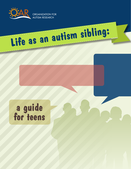

**Life as an autism sibling:**

ORGANIZATION FOR AUTISM RESEARCH

# **a guide for teens**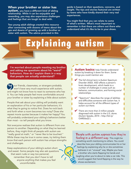### When your brother or sister has

**autism, you have a different kind of sibling** relationship. While it can be enjoyable and rewarding, you may also experience challenges and feelings that are tough to deal with.

Two young adult siblings created this resource after connecting with dozens of teens about the ups and downs of growing up with a brother or sister with autism. The advice provided in this

guide is based on their questions, concerns, and insight. The tips and stories featured are written by teens who have kindly shared their very real experiences.

You might find that you can relate to some of what's written. What's most important to remember is that there are others out there who understand what it's like to be in your shoes.

**Explaining autism**

I'm worried about people meeting my brother and asking me questions about his "weird" behaviors. How do I explain them in a way that people can actually understand?

Our friends, classmates, or strangers probably won't have very much experience with autism, and might not know how to react to someone who has it. You can help people feel more comfortable around your brother or sister by explaining a little about autism.

People that ask about your sibling will probably want an explanation of his or her particular behaviors; it's what they're going to notice first. Does he rock back and forth when a room becomes too noisy? Does she repeat movie quotes because it makes her happy? You will probably understand your sibling's behaviors better than most – so tell people what you know.

Not everyone realizes that autism is different from one person to another. Depending on what they've learned before, they might think all people with autism are "really good at math," or "never like to be touched." While these may be true in some cases, try letting them know that each person with autism has unique strengths and challenges.

Keep explanations of your sibling's autism short and sweet. Some people may also ask questions that seem rude or way too personal; remember that you don't have to tell anyone anything that makes you feel uncomfortable.

**Autism basics:** help friends understand autism by breaking it down for them. Some things you could mention are:

- $\blacktriangleright$  The full clinical term is Autism Spectrum Disorder (ASD). ASD affects a person's brain development, which leads to a number of challenges in areas such as: behavior, communication, and forming social relationships.
- $\blacktriangleright$  "Spectrum" describes the range of abilities and difficulties someone with autism has. It helps account for all the different types of autism out there.
- $\blacktriangleright$  There are more than 2 million people diagnosed with autism in the U.S. alone. (Autism Speaks, 2014 – http://bit.ly/ OARSibs22 ).

**People with autism express how they're feeling in a different way.** This might be

something worth mentioning to others. You could describe how your sibling communicates his or her feelings by explaining why he or she sometimes behaves in an "unusual" way. Maybe you have a brother who starts flapping his hands and laughing when you're about to take a car ride. This would suggest that hand-flapping is the way he shows excitement.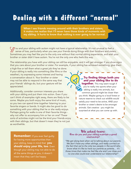## **Dealing with a different "normal"**

When I see friends messing around with their brothers and sisters, it makes me realize that I'll never have those kinds of moments with my sibling. It hurts to know that nothing is ever going to be normal.

 $\zeta$   $\pi$  ou and your sibling with autism might not have a typical relationship. It's not unusual to feel a sense of loss, particularly when you see your friends doing things with their brothers and sisters. Sometimes you may feel like you're the only one without that normal sibling experience, and wish your brother or sister didn't have autism. You're not the only one who feels this way.

The relationship you have with your sibling can still be enjoyable, and it will get stronger if you show signs that you care about your brother or sister. For example, if your sibling has achieved something, give them a high-five or tell them what a great job they've done.

If your sibling is really into something (like films or the weather), try expressing some interest and having a conversation about it. Your brother or sister may not be able to respond in the same way that your friends' siblings do, but your gesture will be appreciated.

Additionally, consider common interests you share with your sibling and put them into action. Even if you can't think of examples right away, there are likely to be some. Maybe you both enjoy the same kind of music, so you two can spend time together listening to your favorite singers or bands. It might also be good to do something with your sibling that he or she really enjoys. Perhaps going for walks is one of their favorite things why not offer to accompany him or her on one? These sorts of activities might not be the kind your friends enjoy with their siblings, but that doesn't mean they're not just as worthwhile.

### Try finding things both you and your sibling like to do

together. This may seem tough if you're really into sports when your sibling is really into animals, but common ground might be closer than you think. Maybe going to a local forest or nature reserve to check out wildlife would satisfy your need to be active, AND your brother or sister's desire to be amongst animals. Get creative - you might be surprised at what you can come up with.

**Remember:** If you ever feel guilty for having more opportunities than your sibling, keep in mind that you should enjoy your life, too. Even though your sibling may not able to do all the same things as you, it doesn't mean that they can't be happy.

### **We asked teens: How do you and your sibling maintain a good relationship?**

*"We get along best when we're talking about our parents. We don't have any other siblings, and really connect on the fact that we're the only two people in the world who know what it's like to have our parents as parents… it's those times that make me feel like she and I are close and no one else could ever understand our relationship!"*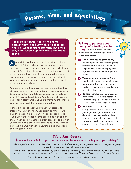# Parents, time, and expectations

 I feel like my parents barely notice me because they're so busy with my sibling. It's not like I want constant attention, but I wish they'd try keeping up with what's important to me.

 our sibling with autism can demand a lot of your parents' time and attention. As a result, you may have more responsibility and independence, which can be great. Sometimes, however, you might just want a bit of recognition. It can hurt if your parents don't seem to notice when you've achieved something important to you, such as being selected for a role in the school play or making a sports team. y

Your parents might be busy with your sibling, but they still want to know how you're doing. Find a good time to approach them and talk about how you're feeling, even if it may be tough to do. You'll almost always feel better for it afterwards, and your parents might surprise you with how much they actually do notice.

If there's a special event you want your parents to attend, try talking to them about it in advance. It will give them extra time to plan. This is also good to do if you just want to spend some time alone with one of them. If you really want to go prom dress shopping with your mom, pick a time with her to do so. If you want to go to a ballgame with your dad, find a good weekend and suggest it to him.

#### Talking to parents about how you're feeling can be

tough. Here are some tips that might help you get through some of those discussions:

Know what you're going to say. Having a plan keeps you from getting sidetracked during a discussion. It helps to write it out on paper, even if you're the only one who's going to read it. 1

**2** Think about the outcomes. Try to imagine what your parents might say back to you. That way, you can be ready to answer questions and respond to their feelings, too.

- **Remain calm.** It's easy for emotional discussions to get a little heated. If everyone keeps a level head, it will be easier to say what needs to be said.
- **Be honest.** If you can be straightforward about how you feel, you're going to get more out of a discussion. Be clear, and then listen to what your parents have to say. You'll understand each other better and be able to come up with a solution.

### **We asked teens:**

### **How would you talk to your parents about issues you're having with your sibling?**

*"My suggestions are to take a few deep breaths… think about what you are going to say and how you are going to say it. Try not to be mean about your sibling."*

*"Make time to talk with your parents. Explain that there is something on your mind or that you have questions, and then set a time to spend focused solely on the conversation – no TV on, no Facebook, no dish washing, etc."*

*"Keep the conversation real, but keep it positive. Try not to blame your parents."*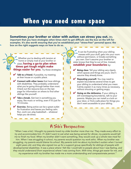## **When you need some space**

### Sometimes your brother or sister with autism can stress you out. It's

important that you have strategies when times start to get difficult; see the box on the left for examples. It's also worth ensuring that you've established your "stress-free" personal space; the box on the right suggests ways on how to do so.

Whether you're dealing with tension at home or simply mad at your brother or sister, **having a go-to plan when** times get tough might make **things easier for you.** Try these strategies:

- $\blacktriangleright$  Talk to a friend. If possible, try meeting at their house or a public place.
- Connect with other teens that have siblings with disabilities. They probably understand what you're going through better than most. Check out the resource box on the last page for information on where to find other siblings like yourself.
	- Take a break. Get lost in something you enjoy, like music or writing, even if it's just for 15 minutes.
	- **Exercise.** Being active can be a great outlet for frustration and leaves you feeling calm. Run, work out, play basketball… whatever helps you de-stress.

It can be frustrating when your sibling messes with your stuff, gets into your room without permission, or breaks something you own. Don't assume your brother or sister knows that they're out of line. Instead, establish your boundaries by:

- Being clear. Tell your sibling very clearly which spaces and things are yours. Don't assume they already know.
- Repeating yourself. You may need to explain boundaries several times to get your sibling to understand what you mean. Calmly explain it as many times as necessary, without shouting or getting angry.
- Going on the defensive. If your sibling is still overstepping boundaries, talk to your parents. Maybe you can install a a lock on your door, or find a safe place for things you don't want accessible to your sibling.

### **A Sib's Perspective:**

*"When I was a kid, I thought my parents loved my older brother more than me. They made every effort to try and accommodate him. If I didn't want to eat what was being served for dinner, my parents would tell me to finish my food. When my brother didn't want something, they would cook up a whole new meal for him. When I was struggling in school, my parents would question my work ethic. When my brother was struggling, my parents would blame his school. My parents told me about my brother's autism when I turned eight years old, and they also signed me up for a support group specifically for siblings of people with developmental disabilities. It was a place where I felt like I could talk to people about how I was feeling, and they would understand (from experience) where I was coming from. With time, things got easier for me, and my experience with my brother has made me a more understanding and compassionate person."*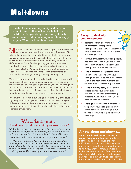## **Meltdowns**

It feels like whenever my family and I are out in public, my brother will have a full-blown meltdown. People always stare so I get really embarrassed, but I also worry about how angry he gets. What can I do about this?

 $M$  el eltdowns can have many possible triggers, but they usually occur when people with autism are really frustrated. To relieve that stress, they might do things that look like the temper tantrums you associate with young children. However, when you see someone older behaving in that kind of way, it's a whole different story. Some family trips may get cut short because your brother or sister becomes overwhelmed and can't handle a particular situation. You might have to avoid other activities altogether. Most siblings can't help feeling embarrassed or frustrated when outings don't go the way that they should.

These challenges and feelings may be hard to come to terms with, but instead of focusing on negative experiences, try picturing times when things have gone right. Maybe your sibling likes going to see musicals or taking trips to theme parks. A small number of bad experiences tend to stick out, but you likely have had some great times together. And there are many more to come!

If you want to help make outings go more smoothly, try discussing a game plan with your parents. Maybe you can make sure your sibling's environment is safe if he or she has a meltdown, or reassure onlookers that your sibling's behavior is just their way of expressing frustration.

### **We asked teens:**

### **How do you cope when your sibling embarrasses you?**

*"My brother embarrasses me whenever he comes with my mom to drop me off or pick me up at camps, parties or other places he's never been before. I deal with them by just walking away and trying to forget the mean looks he gets from people."*

*"Whenever my brother has a meltdown, or even just does something unusual, I think about how I'd feel if I saw someone's brother doing that. It helps me realize that people aren't staring to be mean; most are genuinely concerned about whether your sibling's okay. That's nothing to be embarrassed about."* 

#### 5 ways to deal with embarrassment:

- Remember that everyone gets embarrassed. Most people's siblings embarrass them, whether they have autism or not. You are not alone in feeling this way.
- Surround yourself with good people. Real friends will make you feel better, rather than embarrassed about your sibling – even during meltdowns.
- Take a different perspective. Most embarrassing incidents with your sibling won't seem as bad a week later. Even in the heat of the moment, ask yourself if it's really that big of a deal.
- Make it a funny story. Some autismrelated stories your family tells may have once been embarrassing incidents. Over time, however, you'll learn to smile about them.
- Let it go. Embarrassing moments are temporary; your sibling is not. They might behave a little strangely, but they're still your sibling, so hold your head high.

#### A note about meltdowns…

Some people with autism can act out aggressively when they are in pain or **bothered.** It's just because they have difficulty expressing themselves. However, that doesn't mean it's acceptable for them to hurt you, another family member, or make anyone feel unsafe. If you're worried about your sibling's behavior, talk to your parents or an adult you trust - especially if the behaviors are becoming uncontrollable.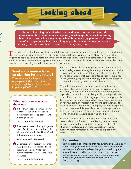## **Looking ahead**

I'm about to finish high school, which has made me start thinking about the future. I won't be around as much anymore, which might be really hard for my sibling. But it also makes me wonder: what about when my parents can't take care of her anymore? What is my role going to be? I want to help out as much as I can, but there are things I want to do on my own, too.

I inishing high school marks a step into adulthood, and can spark thoughts about your future - including how your sibling with autism will fit into it. In the short term, you may worry about how he or she is going to react to you not being around as much and vice versa. In the long term, many siblings find themselves torn between wanting to care for their brother or sister with autism when their parents become unable to, and wanting more independence in the future.

### Want some more advice on planning for the future?

There are sites that help adult siblings of people with disabilities work through tough issues. One example is: http://bit.ly/OARSibs20

#### Other autism resources to check out:.

**SibTeen.** A Facebook group just for teenagers who have siblings with disabilities to talk, swap stories, and exchange advice.

Link: http://bit.ly/OARSibs21

**2** Sibshops for teens. A support group that offers fun and relaxing breaks for siblings of kids with disabilities. Check if there's one in your area:

Link: http://bit.ly/OARSibs18

Organization for Autism Research 3 (OAR). Have more questions about autism? Check out OAR's site for autism information and other helpful resources.

Link: http://bit.ly/OARSibs23

If you're thinking about moving away from home (to travel, attend college, start a new job, etc.), you may want to make keeping in touch with your sibling part of your routine. A phone call or video chat every so often is likely to help your sibling (and you) adjust to the change, making the distance between the two of you easier to deal with.

When thinking about your future role in your brother or sister's life, there are a lot of things for everyone in your family to consider. Every situation is different, partly depending on whether your sibling will live independently or require some form of lifelong support. More importantly, it's a case of how much responsibility you would like to take on for your brother or sister. Many teenagers that want to break away from their families feel guilty for not being more involved. However, it is essential to acknowledge that your life is your own; you don't have to be responsible for your sibling, and no one should expect you to be.

It's important to have an honest conversation with your parents about the future if you're feeling worried, even though it may be hard. Together, you can create a plan, whether it involves you or other support services, so everyone feels comfortable with what to expect in the years to come.

#### Remember:

Being a sibling of someone that has autism isn't always easy. Sometimes you'll face challenges that take a lot of effort to overcome. One of the best things you can do is give yourself some credit. You're not in an easy situation, but you're doing a great job. Take a deep breath, and make sure you've got someone to talk to when things get rough. 7